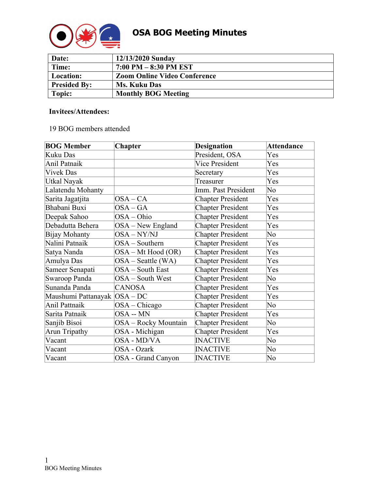

| Date:               | 12/13/2020 Sunday                   |
|---------------------|-------------------------------------|
| Time:               | $7:00$ PM $-8:30$ PM EST            |
| Location:           | <b>Zoom Online Video Conference</b> |
| <b>Presided By:</b> | <b>Ms. Kuku Das</b>                 |
| Topic:              | <b>Monthly BOG Meeting</b>          |

#### **Invitees/Attendees:**

#### 19 BOG members attended

| <b>BOG Member</b>             | <b>Chapter</b>       | <b>Designation</b>       | <b>Attendance</b> |
|-------------------------------|----------------------|--------------------------|-------------------|
| Kuku Das                      |                      | President, OSA           | Yes               |
| Anil Patnaik                  |                      | <b>Vice President</b>    | Yes               |
| <b>Vivek Das</b>              |                      | Secretary                | Yes               |
| Utkal Nayak                   |                      | Treasurer                | Yes               |
| Lalatendu Mohanty             |                      | Imm. Past President      | No                |
| Sarita Jagatjita              | $OSA-CA$             | <b>Chapter President</b> | Yes               |
| Bhabani Buxi                  | $OSA-GA$             | <b>Chapter President</b> | Yes               |
| Deepak Sahoo                  | OSA-Ohio             | <b>Chapter President</b> | Yes               |
| Debadutta Behera              | OSA - New England    | <b>Chapter President</b> | Yes               |
| Bijay Mohanty                 | OSA-NY/NJ            | <b>Chapter President</b> | No                |
| Nalini Patnaik                | OSA - Southern       | <b>Chapter President</b> | Yes               |
| Satya Nanda                   | OSA – Mt Hood (OR)   | <b>Chapter President</b> | Yes               |
| Amulya Das                    | $OSA - Seattle (WA)$ | <b>Chapter President</b> | Yes               |
| Sameer Senapati               | OSA - South East     | <b>Chapter President</b> | Yes               |
| Swaroop Panda                 | OSA - South West     | <b>Chapter President</b> | No                |
| Sunanda Panda                 | <b>CANOSA</b>        | <b>Chapter President</b> | Yes               |
| Maushumi Pattanayak  OSA – DC |                      | <b>Chapter President</b> | Yes               |
| Anil Pattnaik                 | $OSA - Chicago$      | <b>Chapter President</b> | No                |
| Sarita Patnaik                | OSA -- MN            | <b>Chapter President</b> | Yes               |
| Sanjib Bisoi                  | OSA - Rocky Mountain | <b>Chapter President</b> | No                |
| Arun Tripathy                 | OSA - Michigan       | <b>Chapter President</b> | Yes               |
| Vacant                        | OSA - MD/VA          | <b>INACTIVE</b>          | No                |
| Vacant                        | OSA - Ozark          | <b>INACTIVE</b>          | No                |
| Vacant                        | OSA - Grand Canyon   | <b>INACTIVE</b>          | No                |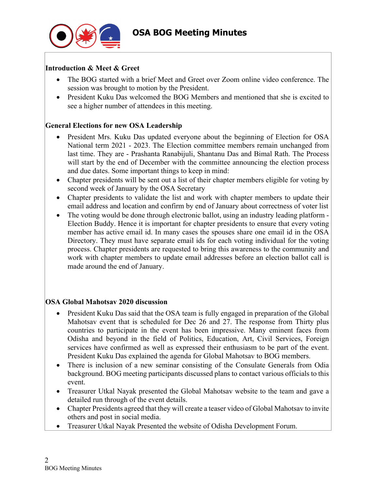

## **Introduction & Meet & Greet**

- The BOG started with a brief Meet and Greet over Zoom online video conference. The session was brought to motion by the President.
- President Kuku Das welcomed the BOG Members and mentioned that she is excited to see a higher number of attendees in this meeting.

### **General Elections for new OSA Leadership**

- President Mrs. Kuku Das updated everyone about the beginning of Election for OSA National term 2021 - 2023. The Election committee members remain unchanged from last time. They are - Prashanta Ranabijuli, Shantanu Das and Bimal Rath. The Process will start by the end of December with the committee announcing the election process and due dates. Some important things to keep in mind:
- Chapter presidents will be sent out a list of their chapter members eligible for voting by second week of January by the OSA Secretary
- Chapter presidents to validate the list and work with chapter members to update their email address and location and confirm by end of January about correctness of voter list
- The voting would be done through electronic ballot, using an industry leading platform -Election Buddy. Hence it is important for chapter presidents to ensure that every voting member has active email id. In many cases the spouses share one email id in the OSA Directory. They must have separate email ids for each voting individual for the voting process. Chapter presidents are requested to bring this awareness to the community and work with chapter members to update email addresses before an election ballot call is made around the end of January.

### **OSA Global Mahotsav 2020 discussion**

- President Kuku Das said that the OSA team is fully engaged in preparation of the Global Mahotsav event that is scheduled for Dec 26 and 27. The response from Thirty plus countries to participate in the event has been impressive. Many eminent faces from Odisha and beyond in the field of Politics, Education, Art, Civil Services, Foreign services have confirmed as well as expressed their enthusiasm to be part of the event. President Kuku Das explained the agenda for Global Mahotsav to BOG members.
- There is inclusion of a new seminar consisting of the Consulate Generals from Odia background. BOG meeting participants discussed plans to contact various officials to this event.
- Treasurer Utkal Nayak presented the Global Mahotsav website to the team and gave a detailed run through of the event details.
- Chapter Presidents agreed that they will create a teaser video of Global Mahotsav to invite others and post in social media.
- Treasurer Utkal Nayak Presented the website of Odisha Development Forum.